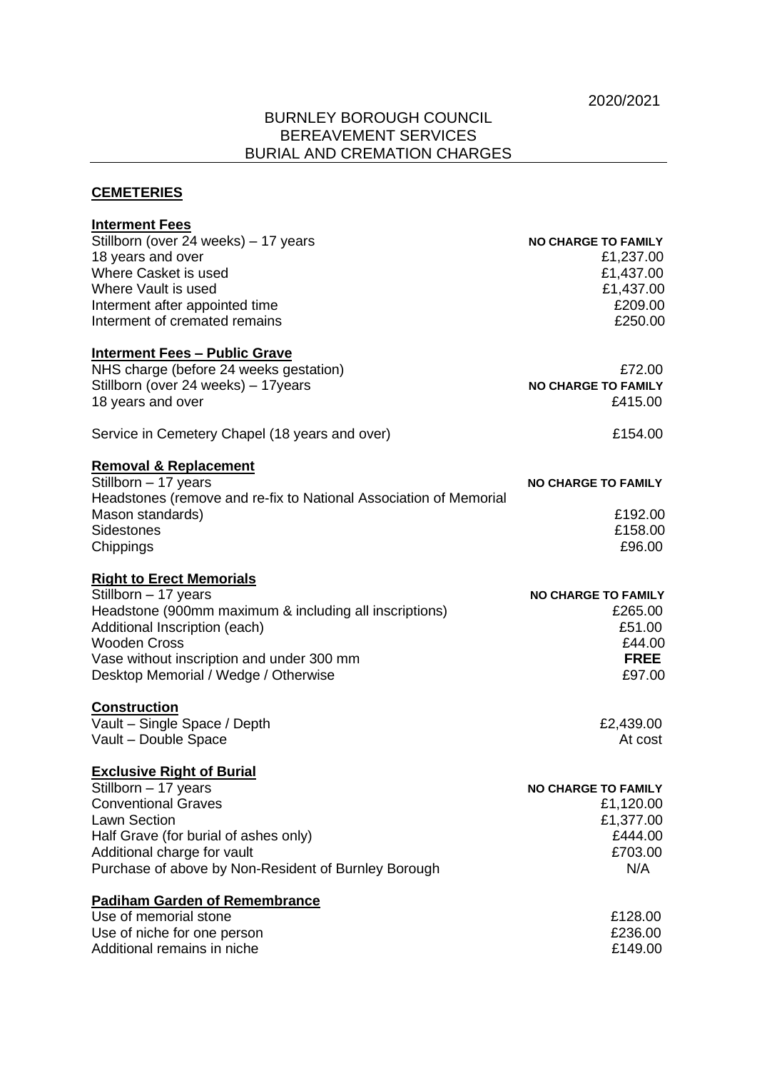## BURNLEY BOROUGH COUNCIL BEREAVEMENT SERVICES BURIAL AND CREMATION CHARGES

## **CEMETERIES**

| <b>Interment Fees</b>                                             |                            |
|-------------------------------------------------------------------|----------------------------|
| Stillborn (over 24 weeks) - 17 years                              | <b>NO CHARGE TO FAMILY</b> |
| 18 years and over                                                 | £1,237.00                  |
| Where Casket is used                                              | £1,437.00                  |
| Where Vault is used                                               | £1,437.00                  |
| Interment after appointed time                                    | £209.00                    |
| Interment of cremated remains                                     | £250.00                    |
| <b>Interment Fees - Public Grave</b>                              |                            |
| NHS charge (before 24 weeks gestation)                            | £72.00                     |
| Stillborn (over 24 weeks) - 17years                               | <b>NO CHARGE TO FAMILY</b> |
| 18 years and over                                                 | £415.00                    |
| Service in Cemetery Chapel (18 years and over)                    | £154.00                    |
| <b>Removal &amp; Replacement</b>                                  |                            |
| Stillborn - 17 years                                              | <b>NO CHARGE TO FAMILY</b> |
| Headstones (remove and re-fix to National Association of Memorial |                            |
| Mason standards)                                                  | £192.00                    |
| <b>Sidestones</b>                                                 | £158.00                    |
| Chippings                                                         | £96.00                     |
| <b>Right to Erect Memorials</b>                                   |                            |
| Stillborn - 17 years                                              | <b>NO CHARGE TO FAMILY</b> |
| Headstone (900mm maximum & including all inscriptions)            | £265.00                    |
| Additional Inscription (each)                                     | £51.00                     |
| <b>Wooden Cross</b>                                               | £44.00                     |
| Vase without inscription and under 300 mm                         | <b>FREE</b>                |
| Desktop Memorial / Wedge / Otherwise                              | £97.00                     |
| <u>Construction</u>                                               |                            |
| Vault - Single Space / Depth                                      | £2,439.00                  |
| Vault - Double Space                                              | At cost                    |
| <b>Exclusive Right of Burial</b>                                  |                            |
| Stillborn - 17 years                                              | <b>NO CHARGE TO FAMILY</b> |
| <b>Conventional Graves</b>                                        | £1,120.00                  |
| <b>Lawn Section</b>                                               | £1,377.00                  |
| Half Grave (for burial of ashes only)                             | £444.00                    |
| Additional charge for vault                                       | £703.00                    |
| Purchase of above by Non-Resident of Burnley Borough              | N/A                        |
| <b>Padiham Garden of Remembrance</b>                              |                            |
| Use of memorial stone                                             | £128.00                    |
| Use of niche for one person                                       | £236.00                    |
| Additional remains in niche                                       | £149.00                    |